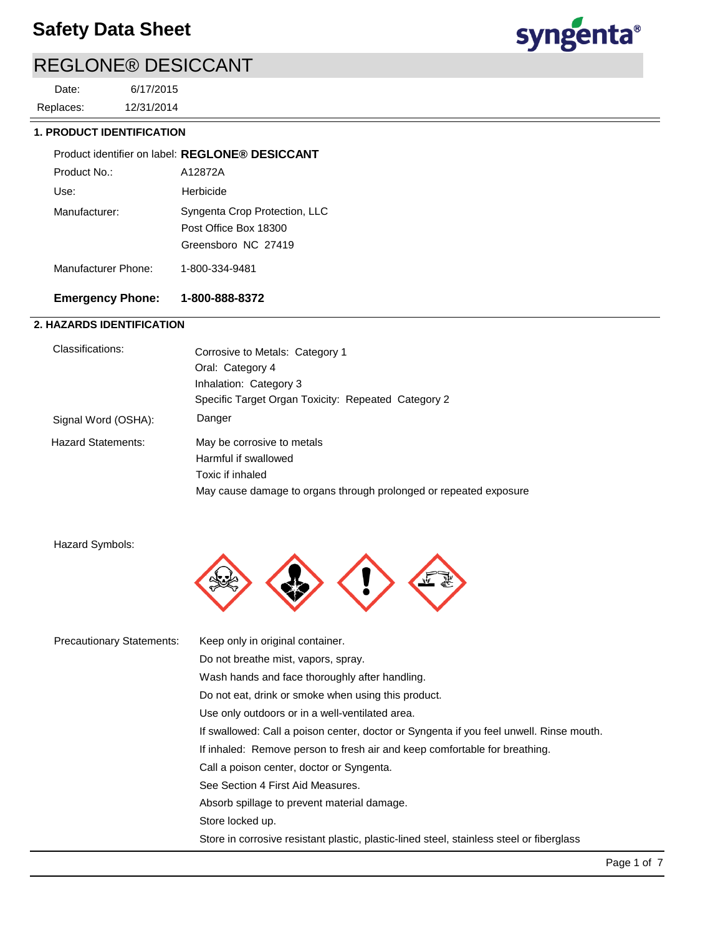# REGLONE® DESICCANT

12/31/2014 6/17/2015 Replaces: Date:



|                     | Product identifier on label: REGLONE® DESICCANT                               |
|---------------------|-------------------------------------------------------------------------------|
| Product No.:        | A12872A                                                                       |
| Use:                | Herbicide                                                                     |
| Manufacturer:       | Syngenta Crop Protection, LLC<br>Post Office Box 18300<br>Greensboro NC 27419 |
| Manufacturer Phone: | 1-800-334-9481                                                                |

## **Emergency Phone: 1-800-888-8372**

## **2. HAZARDS IDENTIFICATION**

| Classifications:    | Corrosive to Metals: Category 1<br>Oral: Category 4<br>Inhalation: Category 3 |
|---------------------|-------------------------------------------------------------------------------|
|                     | Specific Target Organ Toxicity: Repeated Category 2                           |
| Signal Word (OSHA): | Danger                                                                        |
| Hazard Statements:  | May be corrosive to metals                                                    |
|                     | Harmful if swallowed                                                          |
|                     | Toxic if inhaled                                                              |
|                     | May cause damage to organs through prolonged or repeated exposure             |

Hazard Symbols:



| <b>Precautionary Statements:</b> | Keep only in original container.                                                         |
|----------------------------------|------------------------------------------------------------------------------------------|
|                                  | Do not breathe mist, vapors, spray.                                                      |
|                                  | Wash hands and face thoroughly after handling.                                           |
|                                  | Do not eat, drink or smoke when using this product.                                      |
|                                  | Use only outdoors or in a well-ventilated area.                                          |
|                                  | If swallowed: Call a poison center, doctor or Syngenta if you feel unwell. Rinse mouth.  |
|                                  | If inhaled: Remove person to fresh air and keep comfortable for breathing.               |
|                                  | Call a poison center, doctor or Syngenta.                                                |
|                                  | See Section 4 First Aid Measures.                                                        |
|                                  | Absorb spillage to prevent material damage.                                              |
|                                  | Store locked up.                                                                         |
|                                  | Store in corrosive resistant plastic, plastic-lined steel, stainless steel or fiberglass |

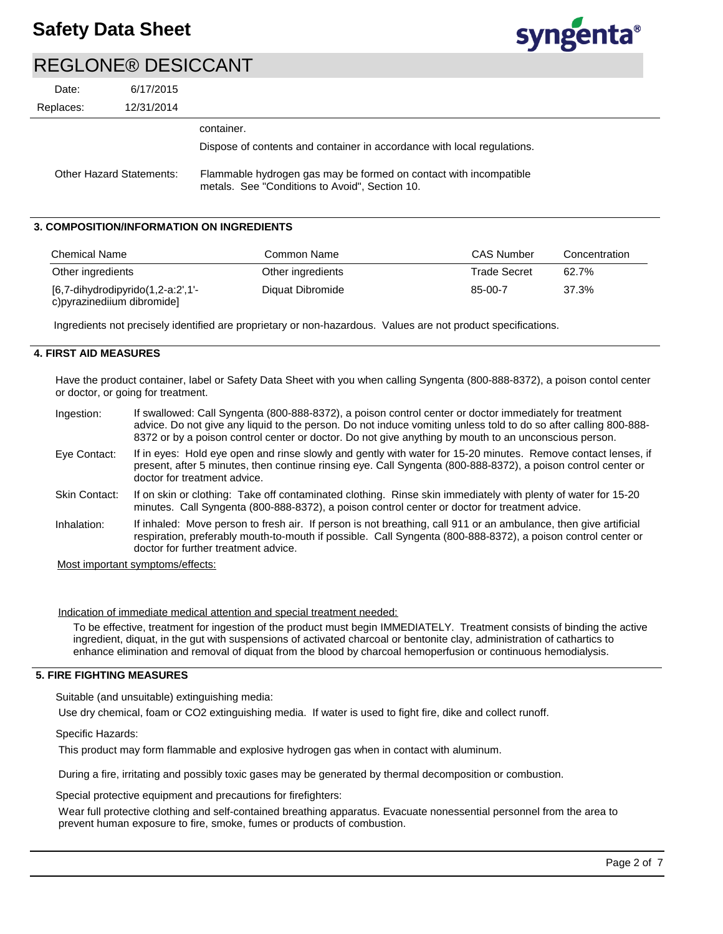

## REGLONE® DESICCANT

| Date:     | 6/17/2015  |                                                                         |
|-----------|------------|-------------------------------------------------------------------------|
| Replaces: | 12/31/2014 |                                                                         |
|           |            | container.                                                              |
|           |            | Dispose of contents and container in accordance with local regulations. |
|           |            |                                                                         |

Flammable hydrogen gas may be formed on contact with incompatible metals. See "Conditions to Avoid", Section 10. Other Hazard Statements:

### **3. COMPOSITION/INFORMATION ON INGREDIENTS**

| <b>Chemical Name</b><br>Common Name                                    |                   | CAS Number   | Concentration |
|------------------------------------------------------------------------|-------------------|--------------|---------------|
| Other ingredients                                                      | Other ingredients | Trade Secret | 62.7%         |
| $[6,7$ -dihydrodipyrido $(1,2$ -a:2',1'-<br>c)pyrazinediium dibromide] | Diquat Dibromide  | 85-00-7      | 37.3%         |

Ingredients not precisely identified are proprietary or non-hazardous. Values are not product specifications.

## **4. FIRST AID MEASURES**

Have the product container, label or Safety Data Sheet with you when calling Syngenta (800-888-8372), a poison contol center or doctor, or going for treatment.

| Ingestion:    | If swallowed: Call Syngenta (800-888-8372), a poison control center or doctor immediately for treatment<br>advice. Do not give any liquid to the person. Do not induce vomiting unless told to do so after calling 800-888-<br>8372 or by a poison control center or doctor. Do not give anything by mouth to an unconscious person. |
|---------------|--------------------------------------------------------------------------------------------------------------------------------------------------------------------------------------------------------------------------------------------------------------------------------------------------------------------------------------|
| Eye Contact:  | If in eyes: Hold eye open and rinse slowly and gently with water for 15-20 minutes. Remove contact lenses, if<br>present, after 5 minutes, then continue rinsing eye. Call Syngenta (800-888-8372), a poison control center or<br>doctor for treatment advice.                                                                       |
| Skin Contact: | If on skin or clothing: Take off contaminated clothing. Rinse skin immediately with plenty of water for 15-20<br>minutes. Call Syngenta (800-888-8372), a poison control center or doctor for treatment advice.                                                                                                                      |
| Inhalation:   | If inhaled: Move person to fresh air. If person is not breathing, call 911 or an ambulance, then give artificial<br>respiration, preferably mouth-to-mouth if possible. Call Syngenta (800-888-8372), a poison control center or<br>doctor for further treatment advice.                                                             |

Most important symptoms/effects:

Indication of immediate medical attention and special treatment needed:

To be effective, treatment for ingestion of the product must begin IMMEDIATELY. Treatment consists of binding the active ingredient, diquat, in the gut with suspensions of activated charcoal or bentonite clay, administration of cathartics to enhance elimination and removal of diquat from the blood by charcoal hemoperfusion or continuous hemodialysis.

## **5. FIRE FIGHTING MEASURES**

Suitable (and unsuitable) extinguishing media:

Use dry chemical, foam or CO2 extinguishing media. If water is used to fight fire, dike and collect runoff.

Specific Hazards:

This product may form flammable and explosive hydrogen gas when in contact with aluminum.

During a fire, irritating and possibly toxic gases may be generated by thermal decomposition or combustion.

Special protective equipment and precautions for firefighters:

Wear full protective clothing and self-contained breathing apparatus. Evacuate nonessential personnel from the area to prevent human exposure to fire, smoke, fumes or products of combustion.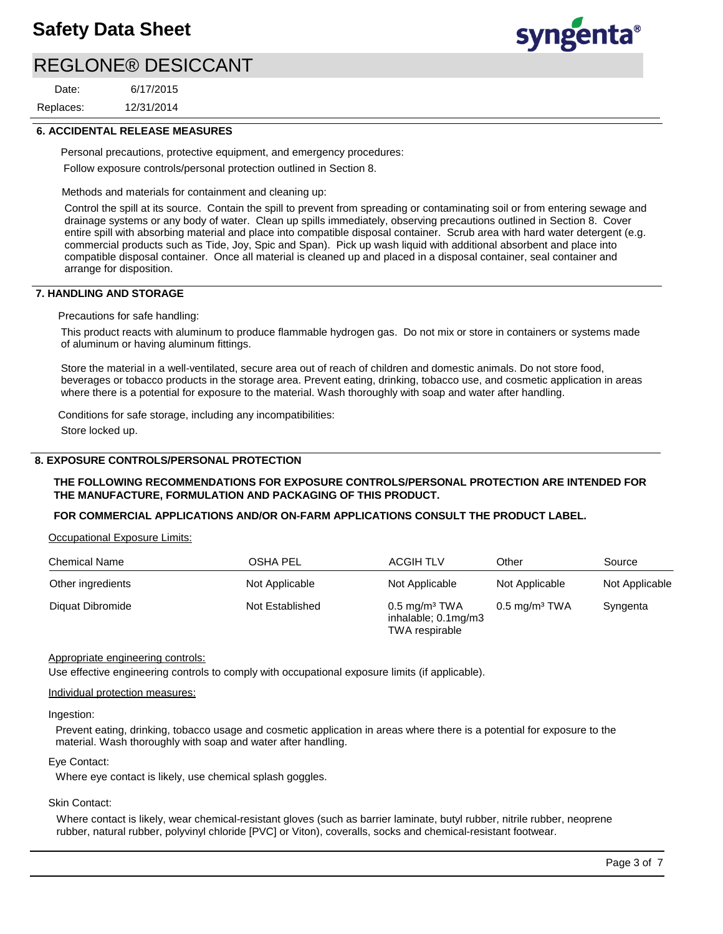## REGLONE® DESICCANT

12/31/2014 6/17/2015 Replaces: Date:



## **6. ACCIDENTAL RELEASE MEASURES**

Personal precautions, protective equipment, and emergency procedures: Follow exposure controls/personal protection outlined in Section 8.

Methods and materials for containment and cleaning up:

Control the spill at its source. Contain the spill to prevent from spreading or contaminating soil or from entering sewage and drainage systems or any body of water. Clean up spills immediately, observing precautions outlined in Section 8. Cover entire spill with absorbing material and place into compatible disposal container. Scrub area with hard water detergent (e.g. commercial products such as Tide, Joy, Spic and Span). Pick up wash liquid with additional absorbent and place into compatible disposal container. Once all material is cleaned up and placed in a disposal container, seal container and arrange for disposition.

### **7. HANDLING AND STORAGE**

Precautions for safe handling:

This product reacts with aluminum to produce flammable hydrogen gas. Do not mix or store in containers or systems made of aluminum or having aluminum fittings.

Store the material in a well-ventilated, secure area out of reach of children and domestic animals. Do not store food, beverages or tobacco products in the storage area. Prevent eating, drinking, tobacco use, and cosmetic application in areas where there is a potential for exposure to the material. Wash thoroughly with soap and water after handling.

Conditions for safe storage, including any incompatibilities: Store locked up.

## **8. EXPOSURE CONTROLS/PERSONAL PROTECTION**

## **THE FOLLOWING RECOMMENDATIONS FOR EXPOSURE CONTROLS/PERSONAL PROTECTION ARE INTENDED FOR THE MANUFACTURE, FORMULATION AND PACKAGING OF THIS PRODUCT.**

## **FOR COMMERCIAL APPLICATIONS AND/OR ON-FARM APPLICATIONS CONSULT THE PRODUCT LABEL.**

Occupational Exposure Limits:

| <b>Chemical Name</b> | OSHA PEL        | <b>ACGIH TLV</b>                                                  | Other                       | Source         |
|----------------------|-----------------|-------------------------------------------------------------------|-----------------------------|----------------|
| Other ingredients    | Not Applicable  | Not Applicable                                                    | Not Applicable              | Not Applicable |
| Diguat Dibromide     | Not Established | $0.5 \text{ mg/m}^3$ TWA<br>inhalable; 0.1mg/m3<br>TWA respirable | $0.5$ mg/m <sup>3</sup> TWA | Syngenta       |

#### Appropriate engineering controls:

Use effective engineering controls to comply with occupational exposure limits (if applicable).

#### Individual protection measures:

#### Ingestion:

Prevent eating, drinking, tobacco usage and cosmetic application in areas where there is a potential for exposure to the material. Wash thoroughly with soap and water after handling.

#### Eye Contact:

Where eye contact is likely, use chemical splash goggles.

### Skin Contact:

Where contact is likely, wear chemical-resistant gloves (such as barrier laminate, butyl rubber, nitrile rubber, neoprene rubber, natural rubber, polyvinyl chloride [PVC] or Viton), coveralls, socks and chemical-resistant footwear.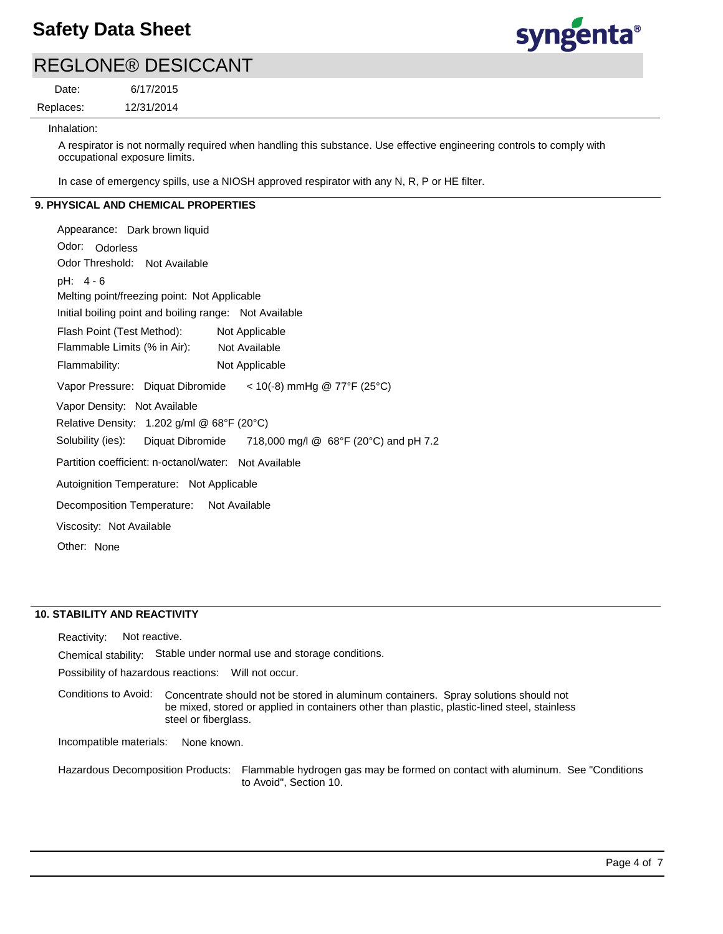

## REGLONE® DESICCANT

Replaces: Date:

12/31/2014 6/17/2015

### Inhalation:

A respirator is not normally required when handling this substance. Use effective engineering controls to comply with occupational exposure limits.

In case of emergency spills, use a NIOSH approved respirator with any N, R, P or HE filter.

## **9. PHYSICAL AND CHEMICAL PROPERTIES**

Odor: Odorless Appearance: Dark brown liquid Vapor Pressure: Diquat Dibromide Solubility (ies): pH: 4 - 6 Initial boiling point and boiling range: Not Available Melting point/freezing point: Not Applicable Odor Threshold: Not Available Not Available Flammability: Not Applicable Not Applicable Autoignition Temperature: Not Applicable Flash Point (Test Method): Flammable Limits (% in Air): Vapor Density: Not Available Relative Density: 1.202 g/ml @ 68°F (20°C) Decomposition Temperature: Not Available Viscosity: Not Available Partition coefficient: n-octanol/water: Not Available Other: None  $<$  10(-8) mmHg @ 77°F (25°C) Diquat Dibromide 718,000 mg/l @ 68°F (20°C) and pH 7.2

## **10. STABILITY AND REACTIVITY**

Reactivity: Not reactive.

Chemical stability: Stable under normal use and storage conditions.

Possibility of hazardous reactions: Will not occur.

Conditions to Avoid: Concentrate should not be stored in aluminum containers. Spray solutions should not be mixed, stored or applied in containers other than plastic, plastic-lined steel, stainless steel or fiberglass.

Incompatible materials: None known.

Flammable hydrogen gas may be formed on contact with aluminum. See "Conditions to Avoid", Section 10. Hazardous Decomposition Products: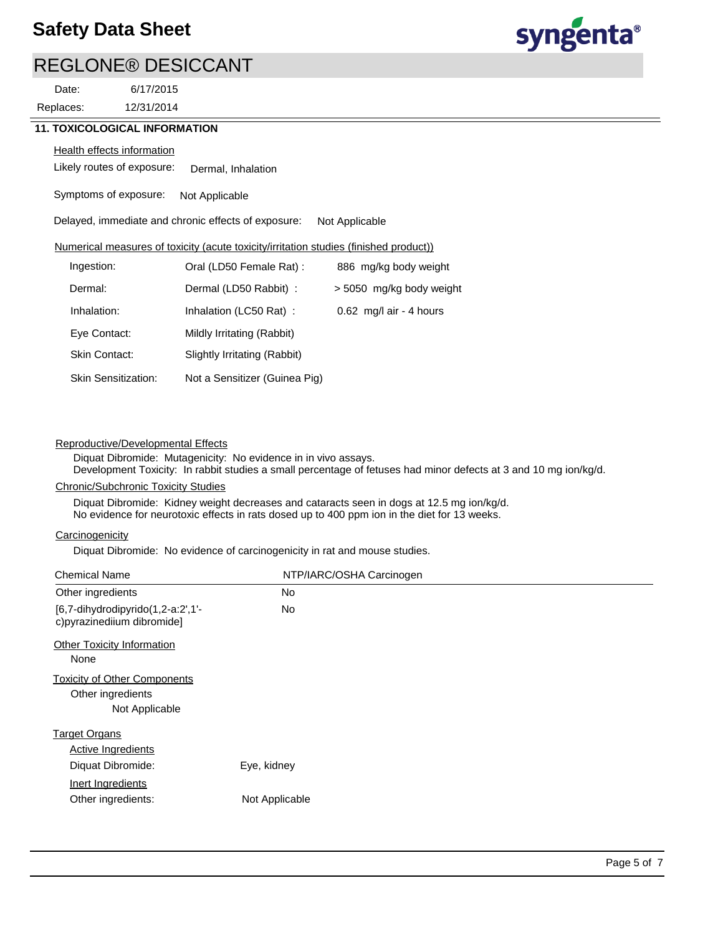## REGLONE® DESICCANT

12/31/2014 6/17/2015 Replaces: Date:



### **11. TOXICOLOGICAL INFORMATION**

#### Health effects information

Likely routes of exposure: Dermal, Inhalation

Symptoms of exposure: Not Applicable

Delayed, immediate and chronic effects of exposure: Not Applicable

## Numerical measures of toxicity (acute toxicity/irritation studies (finished product))

| Ingestion:                 | Oral (LD50 Female Rat):       | 886 mg/kg body weight     |
|----------------------------|-------------------------------|---------------------------|
| Dermal:                    | Dermal (LD50 Rabbit) :        | > 5050 mg/kg body weight  |
| Inhalation:                | Inhalation (LC50 Rat):        | $0.62$ mg/l air - 4 hours |
| Eye Contact:               | Mildly Irritating (Rabbit)    |                           |
| Skin Contact:              | Slightly Irritating (Rabbit)  |                           |
| <b>Skin Sensitization:</b> | Not a Sensitizer (Guinea Pig) |                           |

## Reproductive/Developmental Effects

Diquat Dibromide: Mutagenicity: No evidence in in vivo assays. Development Toxicity: In rabbit studies a small percentage of fetuses had minor defects at 3 and 10 mg ion/kg/d.

## Chronic/Subchronic Toxicity Studies

Diquat Dibromide: Kidney weight decreases and cataracts seen in dogs at 12.5 mg ion/kg/d. No evidence for neurotoxic effects in rats dosed up to 400 ppm ion in the diet for 13 weeks.

#### **Carcinogenicity**

Diquat Dibromide: No evidence of carcinogenicity in rat and mouse studies.

| <b>Chemical Name</b>                                            | NTP/IARC/OSHA Carcinogen |  |
|-----------------------------------------------------------------|--------------------------|--|
| Other ingredients                                               | <b>No</b>                |  |
| [6,7-dihydrodipyrido(1,2-a:2',1'-<br>c)pyrazinediium dibromide] | No                       |  |
| <b>Other Toxicity Information</b><br>None                       |                          |  |
| <b>Toxicity of Other Components</b>                             |                          |  |
| Other ingredients                                               |                          |  |
| Not Applicable                                                  |                          |  |
| <b>Target Organs</b>                                            |                          |  |
| <b>Active Ingredients</b>                                       |                          |  |
| Diquat Dibromide:                                               | Eye, kidney              |  |
| Inert Ingredients                                               |                          |  |
| Other ingredients:                                              | Not Applicable           |  |
|                                                                 |                          |  |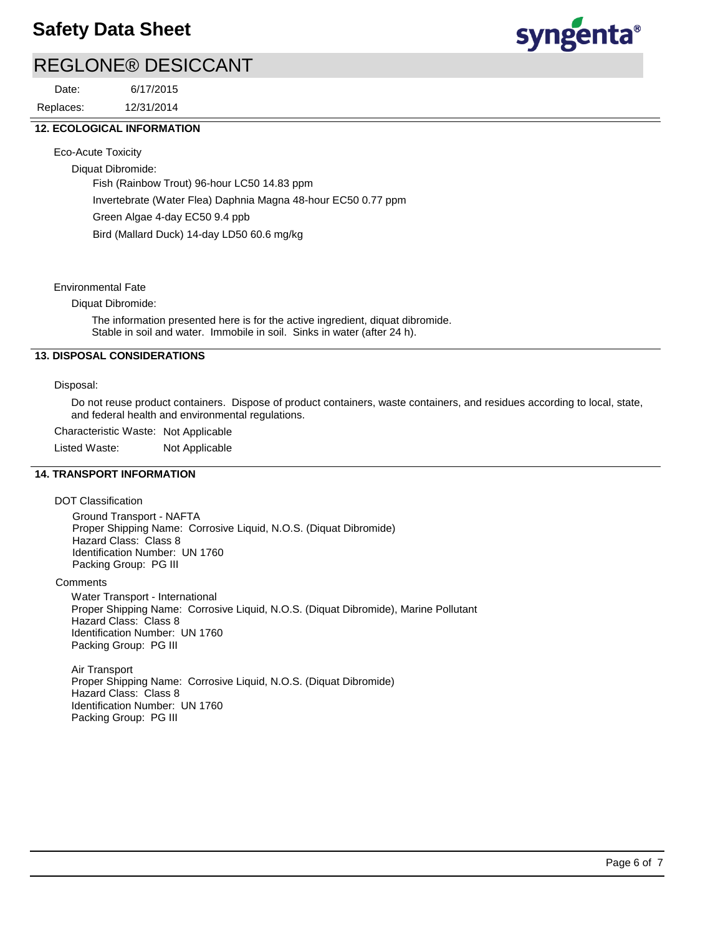## REGLONE® DESICCANT

12/31/2014 6/17/2015 Replaces: Date:



## **12. ECOLOGICAL INFORMATION**

Eco-Acute Toxicity

Diquat Dibromide: Fish (Rainbow Trout) 96-hour LC50 14.83 ppm Invertebrate (Water Flea) Daphnia Magna 48-hour EC50 0.77 ppm Green Algae 4-day EC50 9.4 ppb Bird (Mallard Duck) 14-day LD50 60.6 mg/kg

## Environmental Fate

## Diquat Dibromide:

The information presented here is for the active ingredient, diquat dibromide. Stable in soil and water. Immobile in soil. Sinks in water (after 24 h).

## **13. DISPOSAL CONSIDERATIONS**

### Disposal:

Do not reuse product containers. Dispose of product containers, waste containers, and residues according to local, state, and federal health and environmental regulations.

Characteristic Waste: Not Applicable

Listed Waste: Not Applicable

## **14. TRANSPORT INFORMATION**

## DOT Classification

Ground Transport - NAFTA Proper Shipping Name: Corrosive Liquid, N.O.S. (Diquat Dibromide) Hazard Class: Class 8 Identification Number: UN 1760 Packing Group: PG III

**Comments** 

Water Transport - International Proper Shipping Name: Corrosive Liquid, N.O.S. (Diquat Dibromide), Marine Pollutant Hazard Class: Class 8 Identification Number: UN 1760 Packing Group: PG III

Air Transport Proper Shipping Name: Corrosive Liquid, N.O.S. (Diquat Dibromide) Hazard Class: Class 8 Identification Number: UN 1760 Packing Group: PG III